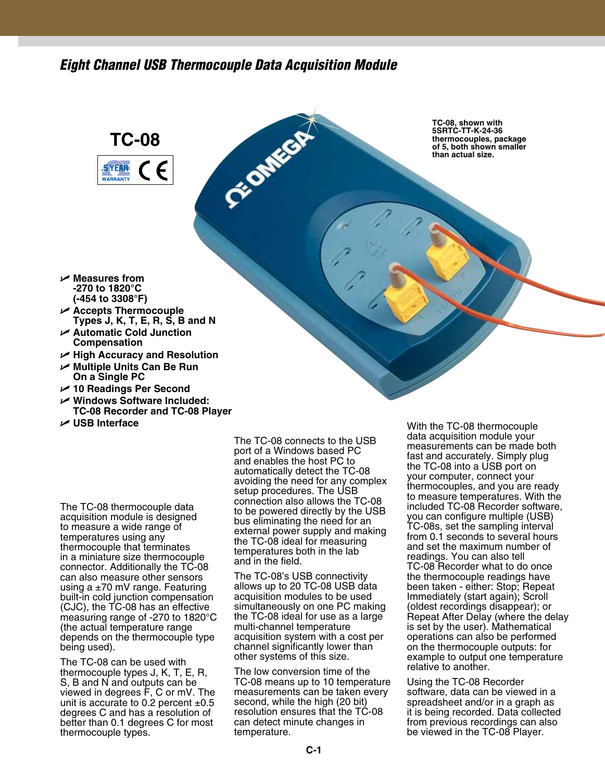## *Eight Channel USB Thermocouple Data Acquisition Module*

Ct-Omkca

## **TC-08 5 YEAR WADDANTY**

**TC-08, shown with 5SRTC-TT-K-24-36 thermocouples, package of 5, both shown smaller than actual size.**

- U **Measures from -270 to 1820°C (-454 to 3308°F)**
- U **Accepts Thermocouple Types J, K, T, E, R, S, B and N**
- U **Automatic Cold Junction Compensation**
- U **High Accuracy and Resolution**
- U **Multiple Units Can Be Run On a Single PC**
- U **10 Readings Per Second**
- U **Windows Software Included: TC-08 Recorder and TC-08 Player**
- U **USB Interface**

The TC-08 thermocouple data acquisition module is designed to measure a wide range of temperatures using any thermocouple that terminates in a miniature size thermocouple connector. Additionally the TC-08 can also measure other sensors using a  $\pm 70$  mV range. Featuring built-in cold junction compensation (CJC), the TC-08 has an effective measuring range of -270 to 1820°C (the actual temperature range depends on the thermocouple type being used).

The TC-08 can be used with thermocouple types J, K, T, E, R, S, B and N and outputs can be viewed in degrees F, C or mV. The unit is accurate to 0.2 percent  $\pm 0.5$ degrees C and has a resolution of better than 0.1 degrees C for most thermocouple types.

The TC-08 connects to the USB port of a Windows based PC and enables the host PC to automatically detect the TC-08 avoiding the need for any complex setup procedures. The USB connection also allows the TC-08 to be powered directly by the USB bus eliminating the need for an external power supply and making the TC-08 ideal for measuring temperatures both in the lab and in the field.

The TC-08's USB connectivity allows up to 20 TC-08 USB data acquisition modules to be used simultaneously on one PC making the TC-08 ideal for use as a large multi-channel temperature acquisition system with a cost per channel significantly lower than other systems of this size.

The low conversion time of the TC-08 means up to 10 temperature measurements can be taken every second, while the high (20 bit) resolution ensures that the TC-08 can detect minute changes in temperature.

With the TC-08 thermocouple data acquisition module your measurements can be made both fast and accurately. Simply plug the TC-08 into a USB port on your computer, connect your thermocouples, and you are ready to measure temperatures. With the included TC-08 Recorder software, you can configure multiple (USB) TC-08s, set the sampling interval from 0.1 seconds to several hours and set the maximum number of readings. You can also tell TC-08 Recorder what to do once the thermocouple readings have been taken - either: Stop; Repeat Immediately (start again); Scroll (oldest recordings disappear); or Repeat After Delay (where the delay is set by the user). Mathematical operations can also be performed on the thermocouple outputs: for example to output one temperature relative to another.

Using the TC-08 Recorder software, data can be viewed in a spreadsheet and/or in a graph as it is being recorded. Data collected from previous recordings can also be viewed in the TC-08 Player.